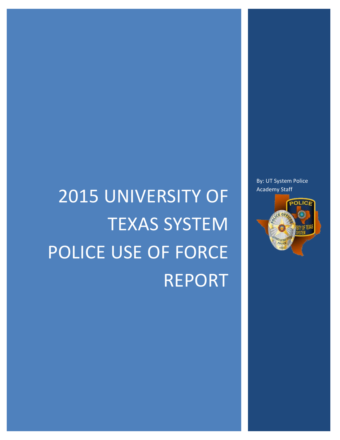# 2015 UNIVERSITY OF TEXAS SYSTEM POLICE USE OF FORCE REPORT

By: UT System Police Academy Staff

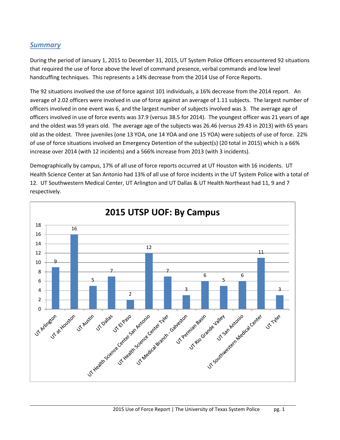#### *Summary*

During the period of January 1, 2015 to December 31, 2015, UT System Police Officers encountered 92 situations that required the use of force above the level of command presence, verbal commands and low level handcuffing techniques. This represents a 14% decrease from the 2014 Use of Force Reports.

The 92 situations involved the use of force against 101 individuals, a 16% decrease from the 2014 report. An average of 2.02 officers were involved in use of force against an average of 1.11 subjects. The largest number of officers involved in one event was 6, and the largest number of subjects involved was 3. The average age of officers involved in use of force events was 37.9 (versus 38.5 for 2014). The youngest officer was 21 years of age and the oldest was 59 years old. The average age of the subjects was 26.46 (versus 29.43 in 2013) with 65 years old as the oldest. Three juveniles (one 13 YOA, one 14 YOA and one 15 YOA) were subjects of use of force. 22% of use of force situations involved an Emergency Detention of the subject(s) (20 total in 2015) which is a 66% increase over 2014 (with 12 incidents) and a 566% increase from 2013 (with 3 incidents).

Demographically by campus, 17% of all use of force reports occurred at UT Houston with 16 incidents. UT Health Science Center at San Antonio had 13% of all use of force incidents in the UT System Police with a total of 12. UT Southwestern Medical Center, UT Arlington and UT Dallas & UT Health Northeast had 11, 9 and 7 respectively.

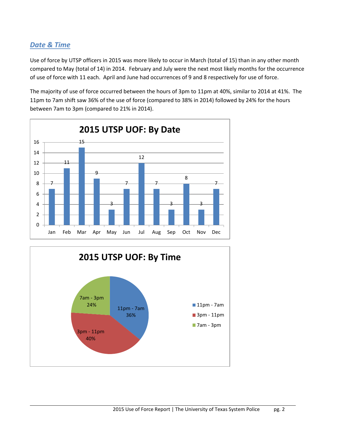# *Date & Time*

Use of force by UTSP officers in 2015 was more likely to occur in March (total of 15) than in any other month compared to May (total of 14) in 2014. February and July were the next most likely months for the occurrence of use of force with 11 each. April and June had occurrences of 9 and 8 respectively for use of force.

The majority of use of force occurred between the hours of 3pm to 11pm at 40%, similar to 2014 at 41%. The 11pm to 7am shift saw 36% of the use of force (compared to 38% in 2014) followed by 24% for the hours between 7am to 3pm (compared to 21% in 2014).



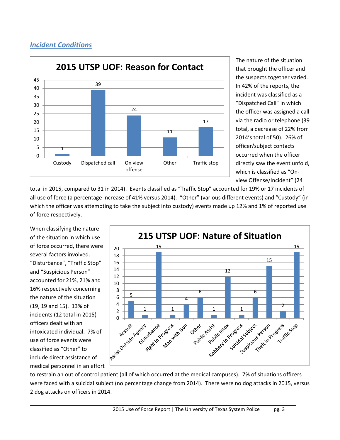# *Incident Conditions*



The nature of the situation that brought the officer and the suspects together varied. In 42% of the reports, the incident was classified as a "Dispatched Call" in which the officer was assigned a call via the radio or telephone (39 total, a decrease of 22% from 2014's total of 50). 26% of officer/subject contacts occurred when the officer directly saw the event unfold, which is classified as "Onview Offense/Incident" (24

total in 2015, compared to 31 in 2014). Events classified as "Traffic Stop" accounted for 19% or 17 incidents of all use of force (a percentage increase of 41% versus 2014). "Other" (various different events) and "Custody" (in which the officer was attempting to take the subject into custody) events made up 12% and 1% of reported use of force respectively.

When classifying the nature of the situation in which use of force occurred, there were several factors involved. "Disturbance", "Traffic Stop" and "Suspicious Person" accounted for 21%, 21% and 16% respectively concerning the nature of the situation (19, 19 and 15). 13% of incidents (12 total in 2015) officers dealt with an intoxicated individual. 7% of use of force events were classified as "Other" to include direct assistance of medical personnel in an effort



to restrain an out of control patient (all of which occurred at the medical campuses). 7% of situations officers were faced with a suicidal subject (no percentage change from 2014). There were no dog attacks in 2015, versus 2 dog attacks on officers in 2014.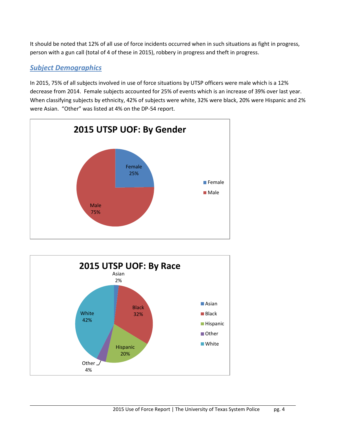It should be noted that 12% of all use of force incidents occurred when in such situations as fight in progress, person with a gun call (total of 4 of these in 2015), robbery in progress and theft in progress.

## *Subject Demographics*

In 2015, 75% of all subjects involved in use of force situations by UTSP officers were male which is a 12% decrease from 2014. Female subjects accounted for 25% of events which is an increase of 39% over last year. When classifying subjects by ethnicity, 42% of subjects were white, 32% were black, 20% were Hispanic and 2% were Asian. "Other" was listed at 4% on the DP-54 report.



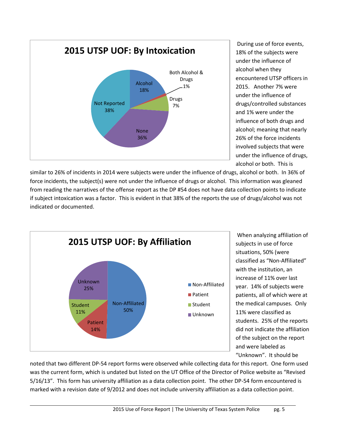

During use of force events, 18% of the subjects were under the influence of alcohol when they encountered UTSP officers in 2015. Another 7% were under the influence of drugs/controlled substances and 1% were under the influence of both drugs and alcohol; meaning that nearly 26% of the force incidents involved subjects that were under the influence of drugs, alcohol or both. This is

similar to 26% of incidents in 2014 were subjects were under the influence of drugs, alcohol or both. In 36% of force incidents, the subject(s) were not under the influence of drugs or alcohol. This information was gleaned from reading the narratives of the offense report as the DP #54 does not have data collection points to indicate if subject intoxication was a factor. This is evident in that 38% of the reports the use of drugs/alcohol was not indicated or documented.



When analyzing affiliation of subjects in use of force situations, 50% (were classified as "Non-Affiliated" with the institution, an increase of 11% over last year. 14% of subjects were patients, all of which were at the medical campuses. Only 11% were classified as students. 25% of the reports did not indicate the affiliation of the subject on the report and were labeled as "Unknown". It should be

noted that two different DP-54 report forms were observed while collecting data for this report. One form used was the current form, which is undated but listed on the UT Office of the Director of Police website as "Revised 5/16/13". This form has university affiliation as a data collection point. The other DP-54 form encountered is marked with a revision date of 9/2012 and does not include university affiliation as a data collection point.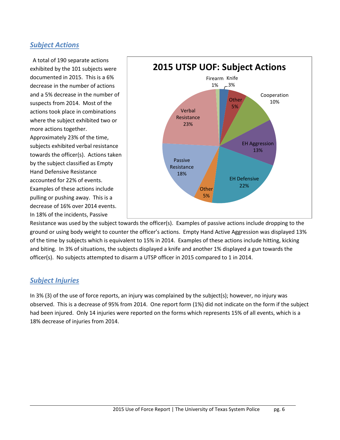#### *Subject Actions*

A total of 190 separate actions exhibited by the 101 subjects were documented in 2015. This is a 6% decrease in the number of actions and a 5% decrease in the number of suspects from 2014. Most of the actions took place in combinations where the subject exhibited two or more actions together. Approximately 23% of the time, subjects exhibited verbal resistance towards the officer(s). Actions taken by the subject classified as Empty Hand Defensive Resistance accounted for 22% of events. Examples of these actions include pulling or pushing away. This is a decrease of 16% over 2014 events. In 18% of the incidents, Passive



Resistance was used by the subject towards the officer(s). Examples of passive actions include dropping to the ground or using body weight to counter the officer's actions. Empty Hand Active Aggression was displayed 13% of the time by subjects which is equivalent to 15% in 2014. Examples of these actions include hitting, kicking and biting. In 3% of situations, the subjects displayed a knife and another 1% displayed a gun towards the officer(s). No subjects attempted to disarm a UTSP officer in 2015 compared to 1 in 2014.

#### *Subject Injuries*

In 3% (3) of the use of force reports, an injury was complained by the subject(s); however, no injury was observed. This is a decrease of 95% from 2014. One report form (1%) did not indicate on the form if the subject had been injured. Only 14 injuries were reported on the forms which represents 15% of all events, which is a 18% decrease of injuries from 2014.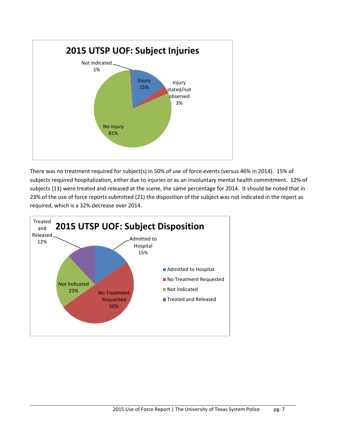

There was no treatment required for subject(s) in 50% of use of force events (versus 46% in 2014). 15% of subjects required hospitalization, either due to injuries or as an involuntary mental health commitment. 12% of subjects (11) were treated and released at the scene, the same percentage for 2014. It should be noted that in 23% of the use of force reports submitted (21) the disposition of the subject was not indicated in the report as required, which is a 32% decrease over 2014.

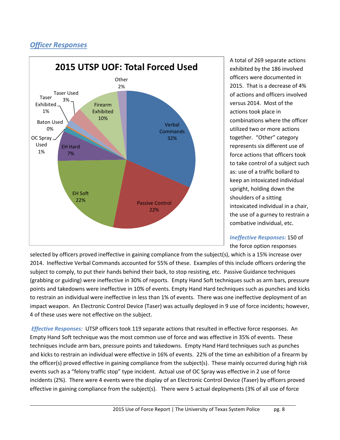# *Officer Responses*



A total of 269 separate actions exhibited by the 186 involved officers were documented in 2015. That is a decrease of 4% of actions and officers involved versus 2014. Most of the actions took place in combinations where the officer utilized two or more actions together. "Other" category represents six different use of force actions that officers took to take control of a subject such as: use of a traffic bollard to keep an intoxicated individual upright, holding down the shoulders of a sitting intoxicated individual in a chair, the use of a gurney to restrain a combative individual, etc.

#### *Ineffective Responses:* 150 of the force option responses

selected by officers proved ineffective in gaining compliance from the subject(s), which is a 15% increase over 2014. Ineffective Verbal Commands accounted for 55% of these. Examples of this include officers ordering the subject to comply, to put their hands behind their back, to stop resisting, etc. Passive Guidance techniques (grabbing or guiding) were ineffective in 30% of reports. Empty Hand Soft techniques such as arm bars, pressure points and takedowns were ineffective in 10% of events. Empty Hand Hard techniques such as punches and kicks to restrain an individual were ineffective in less than 1% of events. There was one ineffective deployment of an impact weapon. An Electronic Control Device (Taser) was actually deployed in 9 use of force incidents; however, 4 of these uses were not effective on the subject.

*Effective Responses:* UTSP officers took 119 separate actions that resulted in effective force responses. An Empty Hand Soft technique was the most common use of force and was effective in 35% of events. These techniques include arm bars, pressure points and takedowns. Empty Hand Hard techniques such as punches and kicks to restrain an individual were effective in 16% of events. 22% of the time an exhibition of a firearm by the officer(s) proved effective in gaining compliance from the subject(s). These mainly occurred during high risk events such as a "felony traffic stop" type incident. Actual use of OC Spray was effective in 2 use of force incidents (2%). There were 4 events were the display of an Electronic Control Device (Taser) by officers proved effective in gaining compliance from the subject(s). There were 5 actual deployments (3% of all use of force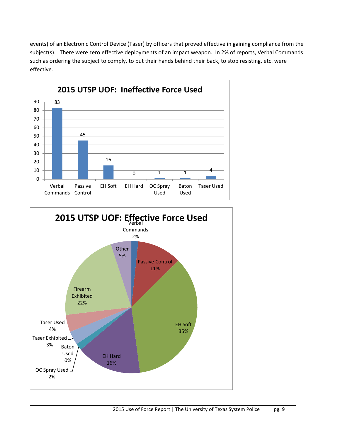events) of an Electronic Control Device (Taser) by officers that proved effective in gaining compliance from the subject(s). There were zero effective deployments of an impact weapon. In 2% of reports, Verbal Commands such as ordering the subject to comply, to put their hands behind their back, to stop resisting, etc. were effective.



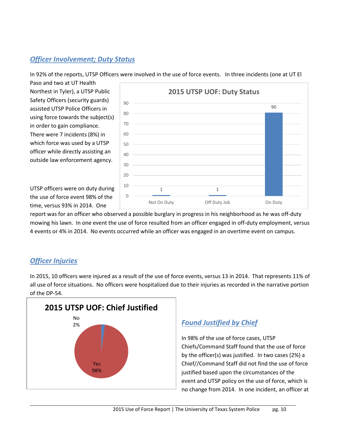## *Officer Involvement; Duty Status*

In 92% of the reports, UTSP Officers were involved in the use of force events. In three incidents (one at UT El

Paso and two at UT Health Northest in Tyler), a UTSP Public Safety Officers (security guards) assisted UTSP Police Officers in using force towards the subject(s) in order to gain compliance. There were 7 incidents (8%) in which force was used by a UTSP officer while directly assisting an outside law enforcement agency.

UTSP officers were on duty during the use of force event 98% of the time, versus 93% in 2014. One



report was for an officer who observed a possible burglary in progress in his neighborhood as he was off-duty mowing his lawn. In one event the use of force resulted from an officer engaged in off-duty employment, versus 4 events or 4% in 2014. No events occurred while an officer was engaged in an overtime event on campus.

# *Officer Injuries*

In 2015, 10 officers were injured as a result of the use of force events, versus 13 in 2014. That represents 11% of all use of force situations. No officers were hospitalized due to their injuries as recorded in the narrative portion of the DP-54.



# *Found Justified by Chief*

In 98% of the use of force cases, UTSP Chiefs/Command Staff found that the use of force by the officer(s) was justified. In two cases (2%) a Chief//Command Staff did not find the use of force justified based upon the circumstances of the event and UTSP policy on the use of force, which is no change from 2014. In one incident, an officer at